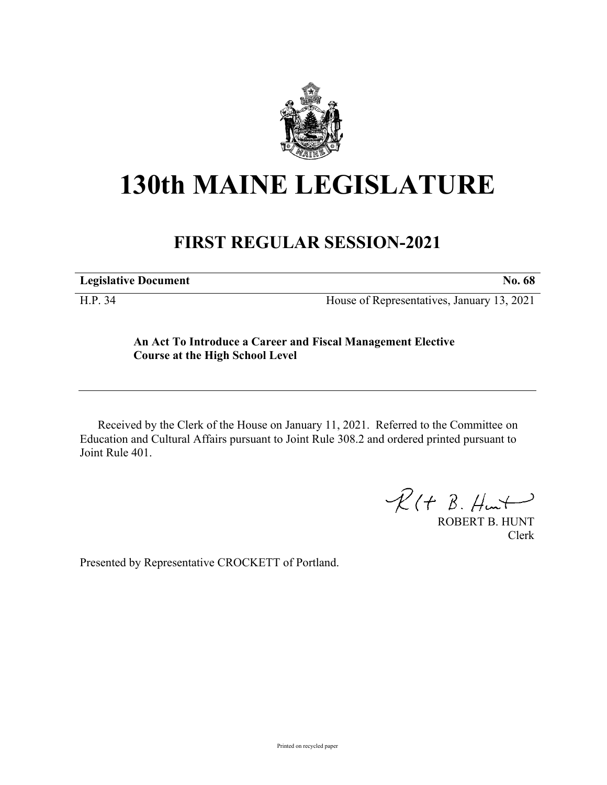

## **130th MAINE LEGISLATURE**

## **FIRST REGULAR SESSION-2021**

**Legislative Document No. 68**

H.P. 34 House of Representatives, January 13, 2021

## **An Act To Introduce a Career and Fiscal Management Elective Course at the High School Level**

Received by the Clerk of the House on January 11, 2021. Referred to the Committee on Education and Cultural Affairs pursuant to Joint Rule 308.2 and ordered printed pursuant to Joint Rule 401.

 $R(H B. H<sub>un</sub>+)$ 

ROBERT B. HUNT Clerk

Presented by Representative CROCKETT of Portland.